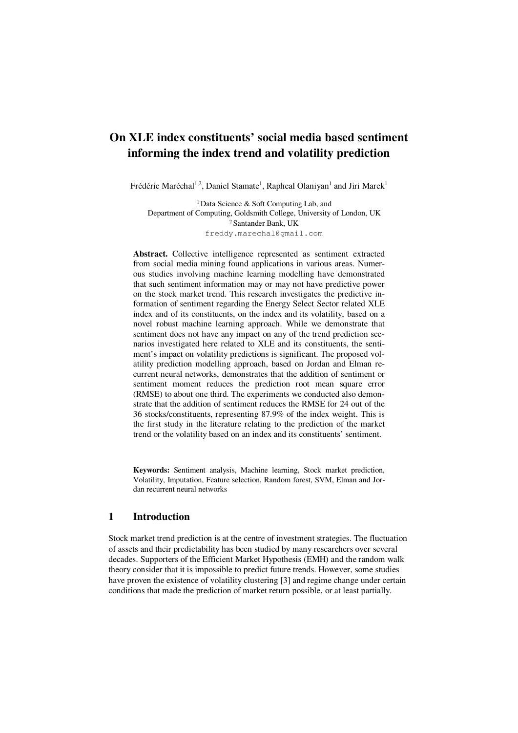# **On XLE index constituents' social media based sentiment informing the index trend and volatility prediction**

Frédéric Maréchal<sup>1,2</sup>, Daniel Stamate<sup>1</sup>, Rapheal Olaniyan<sup>1</sup> and Jiri Marek<sup>1</sup>

<sup>1</sup>Data Science & Soft Computing Lab, and Department of Computing, Goldsmith College, University of London, UK <sup>2</sup> Santander Bank, UK freddy.marechal@gmail.com

**Abstract.** Collective intelligence represented as sentiment extracted from social media mining found applications in various areas. Numerous studies involving machine learning modelling have demonstrated that such sentiment information may or may not have predictive power on the stock market trend. This research investigates the predictive information of sentiment regarding the Energy Select Sector related XLE index and of its constituents, on the index and its volatility, based on a novel robust machine learning approach. While we demonstrate that sentiment does not have any impact on any of the trend prediction scenarios investigated here related to XLE and its constituents, the sentiment's impact on volatility predictions is significant. The proposed volatility prediction modelling approach, based on Jordan and Elman recurrent neural networks, demonstrates that the addition of sentiment or sentiment moment reduces the prediction root mean square error (RMSE) to about one third. The experiments we conducted also demonstrate that the addition of sentiment reduces the RMSE for 24 out of the 36 stocks/constituents, representing 87.9% of the index weight. This is the first study in the literature relating to the prediction of the market trend or the volatility based on an index and its constituents' sentiment.

**Keywords:** Sentiment analysis, Machine learning, Stock market prediction, Volatility, Imputation, Feature selection, Random forest, SVM, Elman and Jordan recurrent neural networks

# **1 Introduction**

Stock market trend prediction is at the centre of investment strategies. The fluctuation of assets and their predictability has been studied by many researchers over several decades. Supporters of the Efficient Market Hypothesis (EMH) and the random walk theory consider that it is impossible to predict future trends. However, some studies have proven the existence of volatility clustering [3] and regime change under certain conditions that made the prediction of market return possible, or at least partially.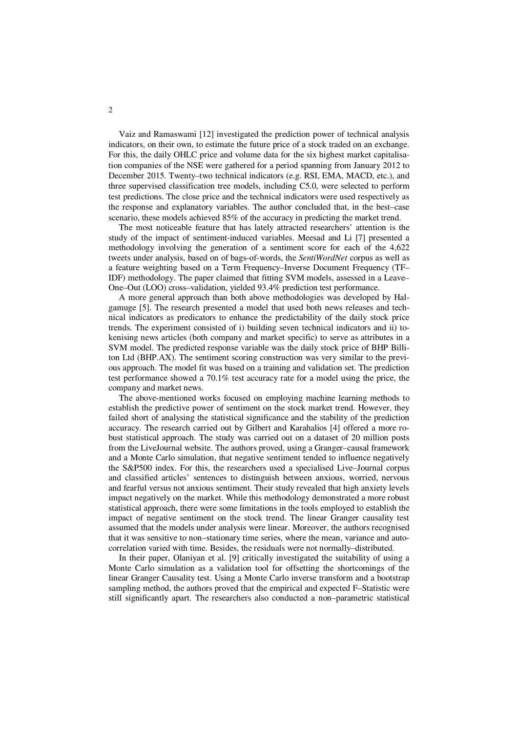Vaiz and Ramaswami [12] investigated the prediction power of technical analysis indicators, on their own, to estimate the future price of a stock traded on an exchange. For this, the daily OHLC price and volume data for the six highest market capitalisation companies of the NSE were gathered for a period spanning from January 2012 to December 2015. Twenty–two technical indicators (e.g. RSI, EMA, MACD, etc.), and three supervised classification tree models, including C5.0, were selected to perform test predictions. The close price and the technical indicators were used respectively as the response and explanatory variables. The author concluded that, in the best–case scenario, these models achieved 85% of the accuracy in predicting the market trend.

The most noticeable feature that has lately attracted researchers' attention is the study of the impact of sentiment-induced variables. Meesad and Li [7] presented a methodology involving the generation of a sentiment score for each of the 4,622 tweets under analysis, based on of bags-of-words, the *SentiWordNet* corpus as well as a feature weighting based on a Term Frequency–Inverse Document Frequency (TF– IDF) methodology. The paper claimed that fitting SVM models, assessed in a Leave– One–Out (LOO) cross–validation, yielded 93.4% prediction test performance.

A more general approach than both above methodologies was developed by Halgamuge [5]. The research presented a model that used both news releases and technical indicators as predicators to enhance the predictability of the daily stock price trends. The experiment consisted of i) building seven technical indicators and ii) tokenising news articles (both company and market specific) to serve as attributes in a SVM model. The predicted response variable was the daily stock price of BHP Billiton Ltd (BHP.AX). The sentiment scoring construction was very similar to the previous approach. The model fit was based on a training and validation set. The prediction test performance showed a 70.1% test accuracy rate for a model using the price, the company and market news.

The above-mentioned works focused on employing machine learning methods to establish the predictive power of sentiment on the stock market trend. However, they failed short of analysing the statistical significance and the stability of the prediction accuracy. The research carried out by Gilbert and Karahalios [4] offered a more robust statistical approach. The study was carried out on a dataset of 20 million posts from the LiveJournal website. The authors proved, using a Granger–causal framework and a Monte Carlo simulation, that negative sentiment tended to influence negatively the S&P500 index. For this, the researchers used a specialised Live–Journal corpus and classified articles' sentences to distinguish between anxious, worried, nervous and fearful versus not anxious sentiment. Their study revealed that high anxiety levels impact negatively on the market. While this methodology demonstrated a more robust statistical approach, there were some limitations in the tools employed to establish the impact of negative sentiment on the stock trend. The linear Granger causality test assumed that the models under analysis were linear. Moreover, the authors recognised that it was sensitive to non–stationary time series, where the mean, variance and autocorrelation varied with time. Besides, the residuals were not normally–distributed.

In their paper, Olaniyan et al. [9] critically investigated the suitability of using a Monte Carlo simulation as a validation tool for offsetting the shortcomings of the linear Granger Causality test. Using a Monte Carlo inverse transform and a bootstrap sampling method, the authors proved that the empirical and expected F–Statistic were still significantly apart. The researchers also conducted a non–parametric statistical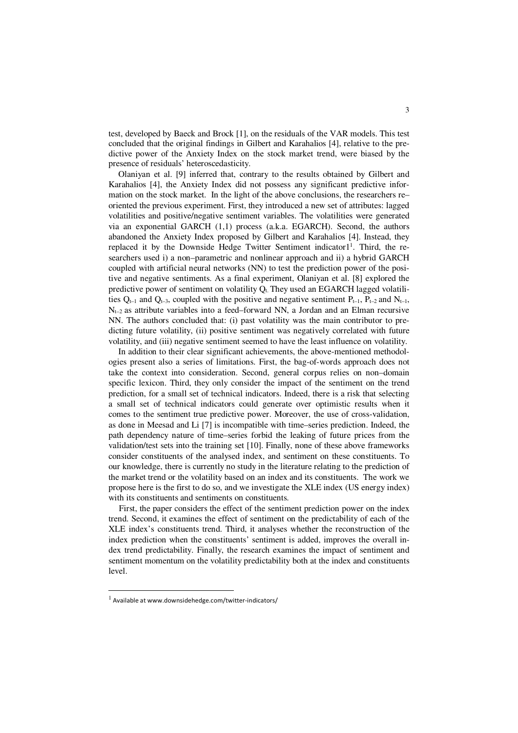test, developed by Baeck and Brock [1], on the residuals of the VAR models. This test concluded that the original findings in Gilbert and Karahalios [4], relative to the predictive power of the Anxiety Index on the stock market trend, were biased by the presence of residuals' heteroscedasticity.

Olaniyan et al. [9] inferred that, contrary to the results obtained by Gilbert and Karahalios [4], the Anxiety Index did not possess any significant predictive information on the stock market. In the light of the above conclusions, the researchers re– oriented the previous experiment. First, they introduced a new set of attributes: lagged volatilities and positive/negative sentiment variables. The volatilities were generated via an exponential GARCH (1,1) process (a.k.a. EGARCH). Second, the authors abandoned the Anxiety Index proposed by Gilbert and Karahalios [4]. Instead, they replaced it by the Downside Hedge Twitter Sentiment indicator1<sup>1</sup>. Third, the researchers used i) a non–parametric and nonlinear approach and ii) a hybrid GARCH coupled with artificial neural networks (NN) to test the prediction power of the positive and negative sentiments. As a final experiment, Olaniyan et al. [8] explored the predictive power of sentiment on volatility  $Q_t$ . They used an EGARCH lagged volatilities  $Q_{t-1}$  and  $Q_{t-3}$ , coupled with the positive and negative sentiment  $P_{t-1}$ ,  $P_{t-2}$  and  $N_{t-1}$ ,  $N_{t-2}$  as attribute variables into a feed–forward NN, a Jordan and an Elman recursive NN. The authors concluded that: (i) past volatility was the main contributor to predicting future volatility, (ii) positive sentiment was negatively correlated with future volatility, and (iii) negative sentiment seemed to have the least influence on volatility.

In addition to their clear significant achievements, the above-mentioned methodologies present also a series of limitations. First, the bag-of-words approach does not take the context into consideration. Second, general corpus relies on non–domain specific lexicon. Third, they only consider the impact of the sentiment on the trend prediction, for a small set of technical indicators. Indeed, there is a risk that selecting a small set of technical indicators could generate over optimistic results when it comes to the sentiment true predictive power. Moreover, the use of cross-validation, as done in Meesad and Li [7] is incompatible with time–series prediction. Indeed, the path dependency nature of time–series forbid the leaking of future prices from the validation/test sets into the training set [10]. Finally, none of these above frameworks consider constituents of the analysed index, and sentiment on these constituents. To our knowledge, there is currently no study in the literature relating to the prediction of the market trend or the volatility based on an index and its constituents. The work we propose here is the first to do so, and we investigate the XLE index (US energy index) with its constituents and sentiments on constituents.

First, the paper considers the effect of the sentiment prediction power on the index trend. Second, it examines the effect of sentiment on the predictability of each of the XLE index's constituents trend. Third, it analyses whether the reconstruction of the index prediction when the constituents' sentiment is added, improves the overall index trend predictability. Finally, the research examines the impact of sentiment and sentiment momentum on the volatility predictability both at the index and constituents level.

-

<sup>1</sup> Available at www.downsidehedge.com/twitter-indicators/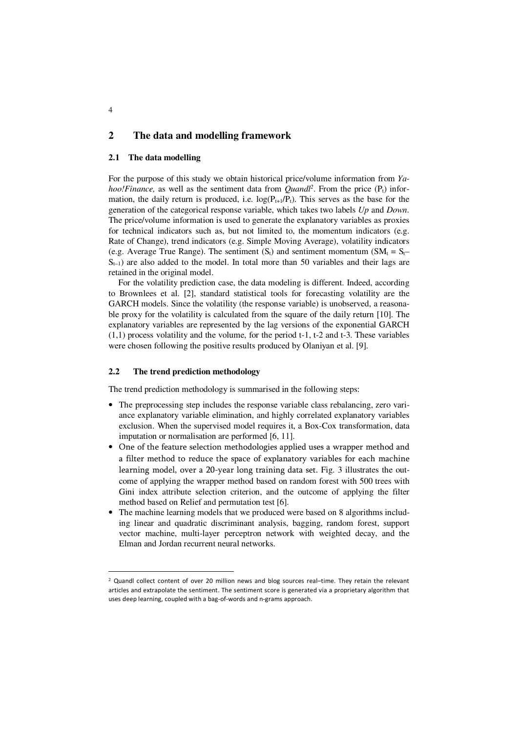# **2 The data and modelling framework**

#### **2.1 The data modelling**

For the purpose of this study we obtain historical price/volume information from *Yahoo!Finance*, as well as the sentiment data from *Quandl<sup>2</sup>*. From the price (P<sub>t</sub>) information, the daily return is produced, i.e.  $log(P_{t+1}/P_t)$ . This serves as the base for the generation of the categorical response variable, which takes two labels *Up* and *Down*. The price/volume information is used to generate the explanatory variables as proxies for technical indicators such as, but not limited to, the momentum indicators (e.g. Rate of Change), trend indicators (e.g. Simple Moving Average), volatility indicators (e.g. Average True Range). The sentiment  $(S_t)$  and sentiment momentum  $(SM_t = S_t$ –  $S_{t-1}$ ) are also added to the model. In total more than 50 variables and their lags are retained in the original model.

For the volatility prediction case, the data modeling is different. Indeed, according to Brownlees et al. [2], standard statistical tools for forecasting volatility are the GARCH models. Since the volatility (the response variable) is unobserved, a reasonable proxy for the volatility is calculated from the square of the daily return [10]. The explanatory variables are represented by the lag versions of the exponential GARCH (1,1) process volatility and the volume, for the period t-1, t-2 and t-3. These variables were chosen following the positive results produced by Olaniyan et al. [9].

## **2.2 The trend prediction methodology**

The trend prediction methodology is summarised in the following steps:

- The preprocessing step includes the response variable class rebalancing, zero variance explanatory variable elimination, and highly correlated explanatory variables exclusion. When the supervised model requires it, a Box-Cox transformation, data imputation or normalisation are performed [6, 11].
- One of the feature selection methodologies applied uses a wrapper method and a filter method to reduce the space of explanatory variables for each machine learning model, over a 20-year long training data set. Fig. 3 illustrates the outcome of applying the wrapper method based on random forest with 500 trees with Gini index attribute selection criterion, and the outcome of applying the filter method based on Relief and permutation test [6].
- The machine learning models that we produced were based on 8 algorithms including linear and quadratic discriminant analysis, bagging, random forest, support vector machine, multi-layer perceptron network with weighted decay, and the Elman and Jordan recurrent neural networks.

4

-

<sup>&</sup>lt;sup>2</sup> Quandl collect content of over 20 million news and blog sources real-time. They retain the relevant articles and extrapolate the sentiment. The sentiment score is generated via a proprietary algorithm that uses deep learning, coupled with a bag-of-words and n-grams approach.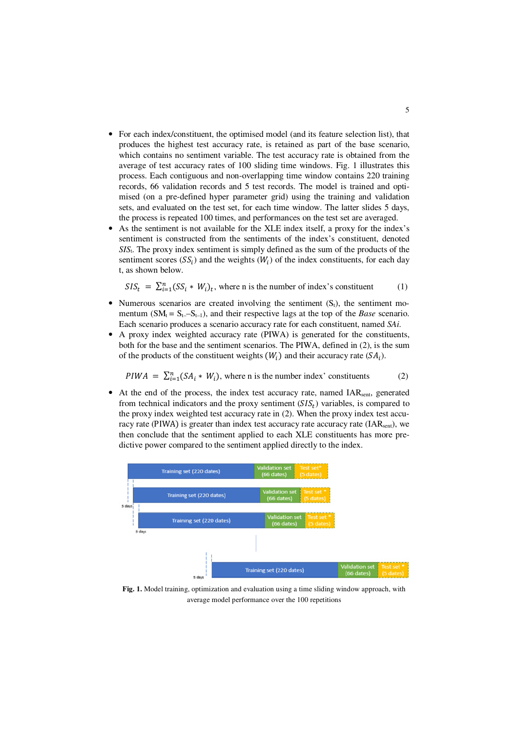- For each index/constituent, the optimised model (and its feature selection list), that produces the highest test accuracy rate, is retained as part of the base scenario, which contains no sentiment variable. The test accuracy rate is obtained from the average of test accuracy rates of 100 sliding time windows. Fig. 1 illustrates this process. Each contiguous and non-overlapping time window contains 220 training records, 66 validation records and 5 test records. The model is trained and optimised (on a pre-defined hyper parameter grid) using the training and validation sets, and evaluated on the test set, for each time window. The latter slides 5 days, the process is repeated 100 times, and performances on the test set are averaged.
- As the sentiment is not available for the XLE index itself, a proxy for the index's sentiment is constructed from the sentiments of the index's constituent, denoted *SIS*t. The proxy index sentiment is simply defined as the sum of the products of the sentiment scores  $(SS_i)$  and the weights  $(W_i)$  of the index constituents, for each day t, as shown below.

$$
SIS_t = \sum_{i=1}^n (SS_i * W_i)_t
$$
, where n is the number of index's constituent (1)

- Numerous scenarios are created involving the sentiment  $(S_t)$ , the sentiment momentum ( $SM_t = S_{t-1}S_{t-1}$ ), and their respective lags at the top of the *Base* scenario. Each scenario produces a scenario accuracy rate for each constituent, named *SAi*.
- A proxy index weighted accuracy rate (PIWA) is generated for the constituents, both for the base and the sentiment scenarios. The PIWA, defined in (2), is the sum of the products of the constituent weights  $(W_i)$  and their accuracy rate  $(SA_i)$ .

$$
PIWA = \sum_{i=1}^{n} (SA_i * W_i), \text{ where n is the number index' constituents} \tag{2}
$$

• At the end of the process, the index test accuracy rate, named IAR<sub>sent</sub>, generated from technical indicators and the proxy sentiment  $(SIS_t)$  variables, is compared to the proxy index weighted test accuracy rate in (2). When the proxy index test accuracy rate (PIWA) is greater than index test accuracy rate accuracy rate  $(IAR<sub>sent</sub>)$ , we then conclude that the sentiment applied to each XLE constituents has more predictive power compared to the sentiment applied directly to the index.



**Fig. 1.** Model training, optimization and evaluation using a time sliding window approach, with average model performance over the 100 repetitions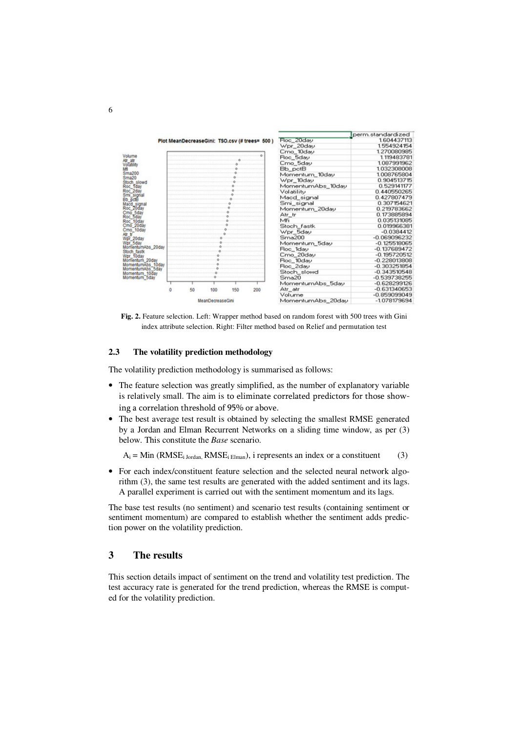

**Fig. 2.** Feature selection. Left: Wrapper method based on random forest with 500 trees with Gini index attribute selection. Right: Filter method based on Relief and permutation test

### **2.3 The volatility prediction methodology**

The volatility prediction methodology is summarised as follows:

- The feature selection was greatly simplified, as the number of explanatory variable is relatively small. The aim is to eliminate correlated predictors for those showing a correlation threshold of 95% or above.
- The best average test result is obtained by selecting the smallest RMSE generated by a Jordan and Elman Recurrent Networks on a sliding time window, as per (3) below. This constitute the *Base* scenario.

 $A_i = Min (RMSE<sub>i Jordan</sub>, RMSE<sub>i Eiman</sub>), i represents an index or a constituent (3)$ 

• For each index/constituent feature selection and the selected neural network algorithm (3), the same test results are generated with the added sentiment and its lags. A parallel experiment is carried out with the sentiment momentum and its lags.

The base test results (no sentiment) and scenario test results (containing sentiment or sentiment momentum) are compared to establish whether the sentiment adds prediction power on the volatility prediction.

## **3 The results**

This section details impact of sentiment on the trend and volatility test prediction. The test accuracy rate is generated for the trend prediction, whereas the RMSE is computed for the volatility prediction.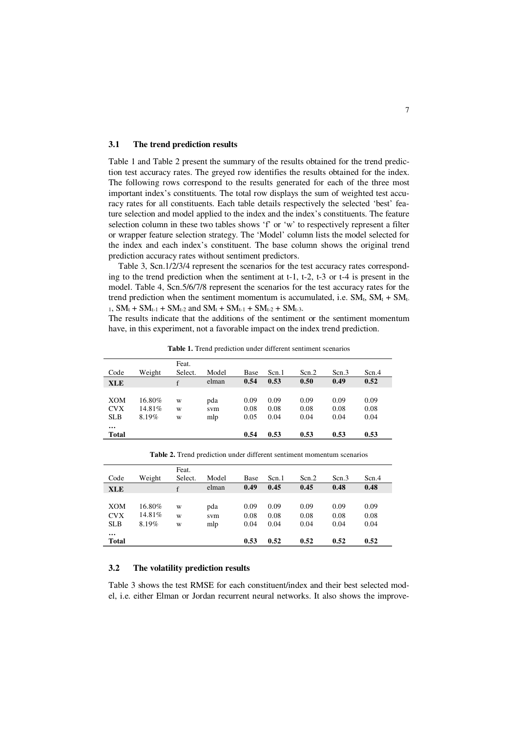#### **3.1 The trend prediction results**

Table 1 and Table 2 present the summary of the results obtained for the trend prediction test accuracy rates. The greyed row identifies the results obtained for the index. The following rows correspond to the results generated for each of the three most important index's constituents. The total row displays the sum of weighted test accuracy rates for all constituents. Each table details respectively the selected 'best' feature selection and model applied to the index and the index's constituents. The feature selection column in these two tables shows 'f' or 'w' to respectively represent a filter or wrapper feature selection strategy. The 'Model' column lists the model selected for the index and each index's constituent. The base column shows the original trend prediction accuracy rates without sentiment predictors.

Table 3, Scn.1/2/3/4 represent the scenarios for the test accuracy rates corresponding to the trend prediction when the sentiment at  $t-1$ ,  $t-2$ ,  $t-3$  or  $t-4$  is present in the model. Table 4, Scn.5/6/7/8 represent the scenarios for the test accuracy rates for the trend prediction when the sentiment momentum is accumulated, i.e.  $SM_t$ ,  $SM_t + SM_t$ . 1,  $SM_t + SM_{t-1} + SM_{t-2}$  and  $SM_t + SM_{t-1} + SM_{t-2} + SM_{t-3}$ .

The results indicate that the additions of the sentiment or the sentiment momentum have, in this experiment, not a favorable impact on the index trend prediction.

|              |        | Feat.   |       |      |       |       |       |       |
|--------------|--------|---------|-------|------|-------|-------|-------|-------|
| Code         | Weight | Select. | Model | Base | Scn.1 | Scn.2 | Scn.3 | Scn.4 |
| <b>XLE</b>   |        | f       | elman | 0.54 | 0.53  | 0.50  | 0.49  | 0.52  |
|              |        |         |       |      |       |       |       |       |
| <b>XOM</b>   | 16.80% | W       | pda   | 0.09 | 0.09  | 0.09  | 0.09  | 0.09  |
| <b>CVX</b>   | 14.81% | W       | svm   | 0.08 | 0.08  | 0.08  | 0.08  | 0.08  |
| <b>SLB</b>   | 8.19%  | W       | mlp   | 0.05 | 0.04  | 0.04  | 0.04  | 0.04  |
| $\cdots$     |        |         |       |      |       |       |       |       |
| <b>Total</b> |        |         |       | 0.54 | 0.53  | 0.53  | 0.53  | 0.53  |
|              |        |         |       |      |       |       |       |       |

**Table 1.** Trend prediction under different sentiment scenarios

|              |        | Feat.   |       |      |       |       |       |       |
|--------------|--------|---------|-------|------|-------|-------|-------|-------|
| Code         | Weight | Select. | Model | Base | Scn.1 | Scn.2 | Scn.3 | Scn.4 |
| <b>XLE</b>   |        | f       | elman | 0.49 | 0.45  | 0.45  | 0.48  | 0.48  |
|              |        |         |       |      |       |       |       |       |
| <b>XOM</b>   | 16.80% | W       | pda   | 0.09 | 0.09  | 0.09  | 0.09  | 0.09  |
| <b>CVX</b>   | 14.81% | W       | svm   | 0.08 | 0.08  | 0.08  | 0.08  | 0.08  |
| <b>SLB</b>   | 8.19%  | W       | mlp   | 0.04 | 0.04  | 0.04  | 0.04  | 0.04  |
| $\cdots$     |        |         |       |      |       |       |       |       |
| <b>Total</b> |        |         |       | 0.53 | 0.52  | 0.52  | 0.52  | 0.52  |

**Table 2.** Trend prediction under different sentiment momentum scenarios

#### **3.2 The volatility prediction results**

Table 3 shows the test RMSE for each constituent/index and their best selected model, i.e. either Elman or Jordan recurrent neural networks. It also shows the improve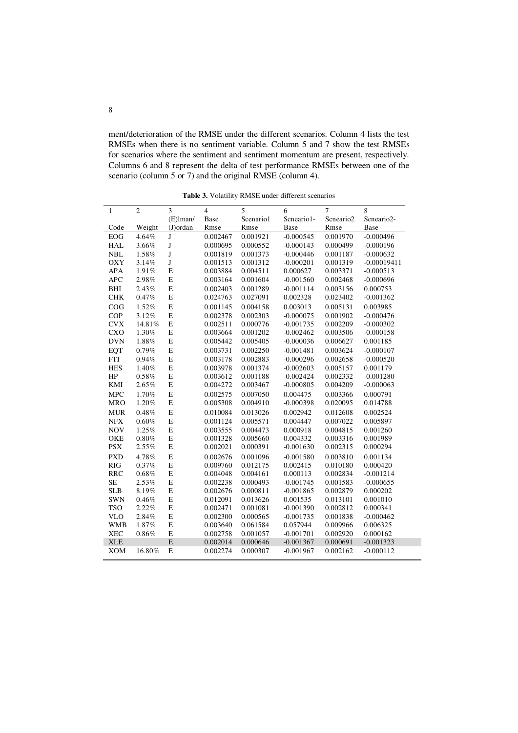ment/deterioration of the RMSE under the different scenarios. Column 4 lists the test RMSEs when there is no sentiment variable. Column 5 and 7 show the test RMSEs for scenarios where the sentiment and sentiment momentum are present, respectively. Columns 6 and 8 represent the delta of test performance RMSEs between one of the scenario (column 5 or 7) and the original RMSE (column 4).

| $\mathbf{1}$ | $\overline{2}$ | 3           | $\overline{4}$ | 5         | 6           | $\overline{7}$        | 8                       |
|--------------|----------------|-------------|----------------|-----------|-------------|-----------------------|-------------------------|
|              |                | $(E)$ lman/ | Base           | Scenario1 | Scneario1-  | Scneario <sub>2</sub> | Scneario <sub>2</sub> - |
| Code         | Weight         | $(J)$ ordan | Rmse           | Rmse      | Base        | Rmse                  | Base                    |
| <b>EOG</b>   | 4.64%          | J           | 0.002467       | 0.001921  | $-0.000545$ | 0.001970              | $-0.000496$             |
| <b>HAL</b>   | 3.66%          | $\bf J$     | 0.000695       | 0.000552  | $-0.000143$ | 0.000499              | $-0.000196$             |
| <b>NBL</b>   | 1.58%          | J           | 0.001819       | 0.001373  | $-0.000446$ | 0.001187              | $-0.000632$             |
| <b>OXY</b>   | 3.14%          | $\bf J$     | 0.001513       | 0.001312  | $-0.000201$ | 0.001319              | $-0.00019411$           |
| <b>APA</b>   | 1.91%          | E           | 0.003884       | 0.004511  | 0.000627    | 0.003371              | $-0.000513$             |
| <b>APC</b>   | 2.98%          | E           | 0.003164       | 0.001604  | $-0.001560$ | 0.002468              | $-0.000696$             |
| BHI          | 2.43%          | E           | 0.002403       | 0.001289  | $-0.001114$ | 0.003156              | 0.000753                |
| <b>CHK</b>   | 0.47%          | E           | 0.024763       | 0.027091  | 0.002328    | 0.023402              | $-0.001362$             |
| COG          | 1.52%          | E           | 0.001145       | 0.004158  | 0.003013    | 0.005131              | 0.003985                |
| <b>COP</b>   | 3.12%          | $\mathbf E$ | 0.002378       | 0.002303  | $-0.000075$ | 0.001902              | $-0.000476$             |
| <b>CVX</b>   | 14.81%         | E           | 0.002511       | 0.000776  | $-0.001735$ | 0.002209              | $-0.000302$             |
| <b>CXO</b>   | 1.30%          | E           | 0.003664       | 0.001202  | $-0.002462$ | 0.003506              | $-0.000158$             |
| <b>DVN</b>   | 1.88%          | E           | 0.005442       | 0.005405  | $-0.000036$ | 0.006627              | 0.001185                |
| EQT          | 0.79%          | E           | 0.003731       | 0.002250  | $-0.001481$ | 0.003624              | $-0.000107$             |
| <b>FTI</b>   | 0.94%          | $\mathbf E$ | 0.003178       | 0.002883  | $-0.000296$ | 0.002658              | $-0.000520$             |
| <b>HES</b>   | 1.40%          | $\mathbf E$ | 0.003978       | 0.001374  | $-0.002603$ | 0.005157              | 0.001179                |
| HP           | 0.58%          | E           | 0.003612       | 0.001188  | $-0.002424$ | 0.002332              | $-0.001280$             |
| KMI          | 2.65%          | E           | 0.004272       | 0.003467  | $-0.000805$ | 0.004209              | $-0.000063$             |
| <b>MPC</b>   | 1.70%          | E           | 0.002575       | 0.007050  | 0.004475    | 0.003366              | 0.000791                |
| <b>MRO</b>   | 1.20%          | E           | 0.005308       | 0.004910  | $-0.000398$ | 0.020095              | 0.014788                |
| <b>MUR</b>   | 0.48%          | E           | 0.010084       | 0.013026  | 0.002942    | 0.012608              | 0.002524                |
| <b>NFX</b>   | 0.60%          | E           | 0.001124       | 0.005571  | 0.004447    | 0.007022              | 0.005897                |
| <b>NOV</b>   | 1.25%          | E           | 0.003555       | 0.004473  | 0.000918    | 0.004815              | 0.001260                |
| <b>OKE</b>   | 0.80%          | $\mathbf E$ | 0.001328       | 0.005660  | 0.004332    | 0.003316              | 0.001989                |
| <b>PSX</b>   | 2.55%          | E           | 0.002021       | 0.000391  | $-0.001630$ | 0.002315              | 0.000294                |
| <b>PXD</b>   | 4.78%          | $\mathbf E$ | 0.002676       | 0.001096  | $-0.001580$ | 0.003810              | 0.001134                |
| <b>RIG</b>   | 0.37%          | E           | 0.009760       | 0.012175  | 0.002415    | 0.010180              | 0.000420                |
| <b>RRC</b>   | 0.68%          | E           | 0.004048       | 0.004161  | 0.000113    | 0.002834              | $-0.001214$             |
| <b>SE</b>    | 2.53%          | E           | 0.002238       | 0.000493  | $-0.001745$ | 0.001583              | $-0.000655$             |
| <b>SLB</b>   | 8.19%          | $\mathbf E$ | 0.002676       | 0.000811  | $-0.001865$ | 0.002879              | 0.000202                |
| <b>SWN</b>   | 0.46%          | $\mathbf E$ | 0.012091       | 0.013626  | 0.001535    | 0.013101              | 0.001010                |
| <b>TSO</b>   | 2.22%          | E           | 0.002471       | 0.001081  | $-0.001390$ | 0.002812              | 0.000341                |
| <b>VLO</b>   | 2.84%          | E           | 0.002300       | 0.000565  | $-0.001735$ | 0.001838              | $-0.000462$             |
| <b>WMB</b>   | 1.87%          | E           | 0.003640       | 0.061584  | 0.057944    | 0.009966              | 0.006325                |
| <b>XEC</b>   | 0.86%          | E           | 0.002758       | 0.001057  | $-0.001701$ | 0.002920              | 0.000162                |
| <b>XLE</b>   |                | E           | 0.002014       | 0.000646  | $-0.001367$ | 0.000691              | $-0.001323$             |
| <b>XOM</b>   | 16.80%         | E           | 0.002274       | 0.000307  | $-0.001967$ | 0.002162              | $-0.000112$             |

**Table 3.** Volatility RMSE under different scenarios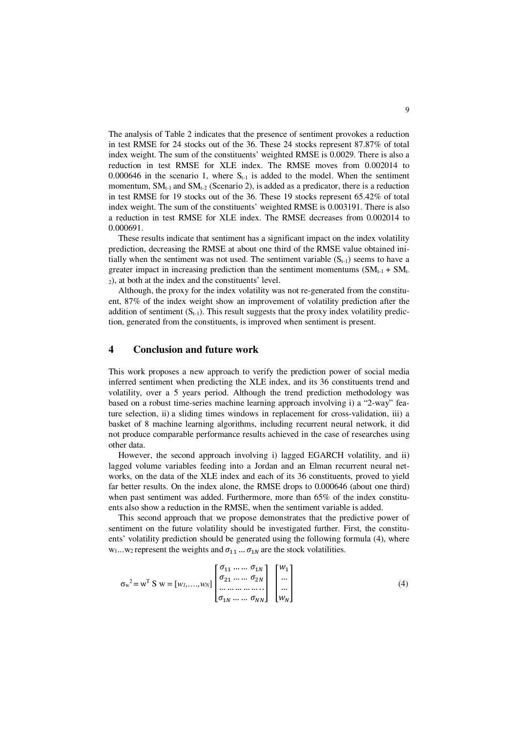The analysis of Table 2 indicates that the presence of sentiment provokes a reduction in test RMSE for 24 stocks out of the 36. These 24 stocks represent 87.87% of total index weight. The sum of the constituents' weighted RMSE is 0.0029. There is also a reduction in test RMSE for XLE index. The RMSE moves from 0.002014 to 0.000646 in the scenario 1, where  $S_{t-1}$  is added to the model. When the sentiment momentum,  $SM_{t-1}$  and  $SM_{t-2}$  (Scenario 2), is added as a predicator, there is a reduction in test RMSE for 19 stocks out of the 36. These 19 stocks represent 65.42% of total index weight. The sum of the constituents' weighted RMSE is 0.003191. There is also a reduction in test RMSE for XLE index. The RMSE decreases from 0.002014 to 0.000691.

These results indicate that sentiment has a significant impact on the index volatility prediction, decreasing the RMSE at about one third of the RMSE value obtained initially when the sentiment was not used. The sentiment variable  $(S_{t-1})$  seems to have a greater impact in increasing prediction than the sentiment momentums  $(SM_{t-1} + SM_t$ <sup>2</sup>), at both at the index and the constituents' level.

Although, the proxy for the index volatility was not re-generated from the constituent, 87% of the index weight show an improvement of volatility prediction after the addition of sentiment  $(S_{t-1})$ . This result suggests that the proxy index volatility prediction, generated from the constituents, is improved when sentiment is present.

## **4 Conclusion and future work**

This work proposes a new approach to verify the prediction power of social media inferred sentiment when predicting the XLE index, and its 36 constituents trend and volatility, over a 5 years period. Although the trend prediction methodology was based on a robust time-series machine learning approach involving i) a "2-way" feature selection, ii) a sliding times windows in replacement for cross-validation, iii) a basket of 8 machine learning algorithms, including recurrent neural network, it did not produce comparable performance results achieved in the case of researches using other data.

However, the second approach involving i) lagged EGARCH volatility, and ii) lagged volume variables feeding into a Jordan and an Elman recurrent neural networks, on the data of the XLE index and each of its 36 constituents, proved to yield far better results. On the index alone, the RMSE drops to 0.000646 (about one third) when past sentiment was added. Furthermore, more than 65% of the index constituents also show a reduction in the RMSE, when the sentiment variable is added.

This second approach that we propose demonstrates that the predictive power of sentiment on the future volatility should be investigated further. First, the constituents' volatility prediction should be generated using the following formula (4), where  $w_1...w_2$  represent the weights and  $\sigma_{11} \ldots \sigma_{1N}$  are the stock volatilities.

$$
\sigma_{w}^{2} = w^{T} S w = [w_{1}, ..., w_{N}] \begin{bmatrix} \sigma_{11} & ... & \sigma_{1N} \\ \sigma_{21} & ... & \sigma_{2N} \\ ... & ... & ... & ... \\ \sigma_{1N} & ... & \sigma_{NN} \end{bmatrix} \begin{bmatrix} w_{1} \\ ... \\ ... \\ w_{N} \end{bmatrix}
$$
 (4)